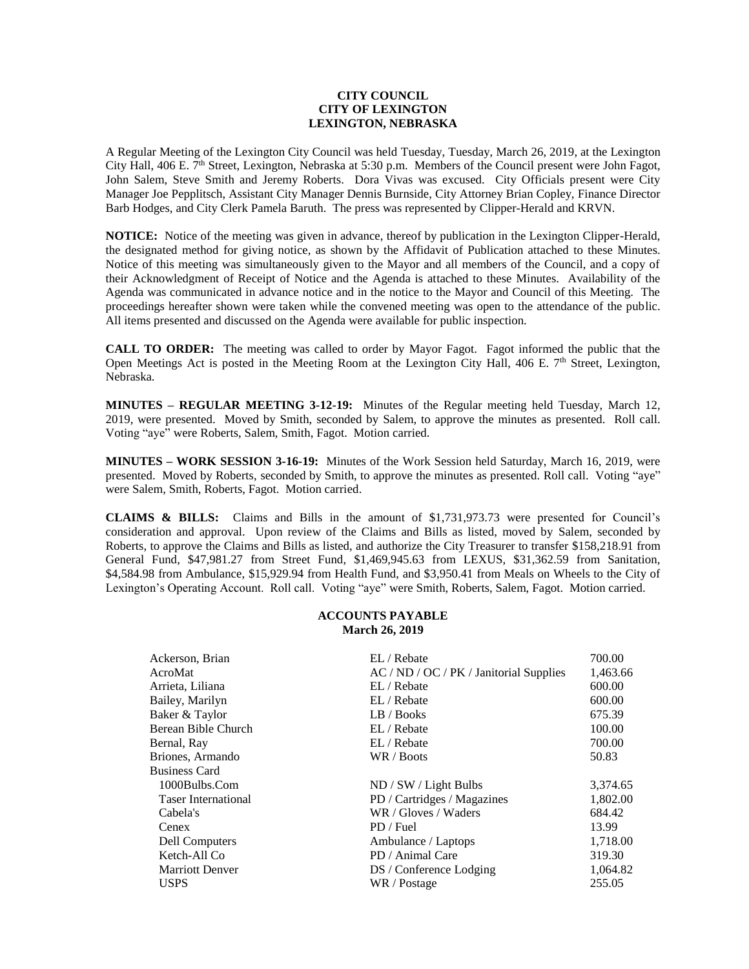## **CITY COUNCIL CITY OF LEXINGTON LEXINGTON, NEBRASKA**

A Regular Meeting of the Lexington City Council was held Tuesday, Tuesday, March 26, 2019, at the Lexington City Hall, 406 E. 7<sup>th</sup> Street, Lexington, Nebraska at 5:30 p.m. Members of the Council present were John Fagot, John Salem, Steve Smith and Jeremy Roberts. Dora Vivas was excused. City Officials present were City Manager Joe Pepplitsch, Assistant City Manager Dennis Burnside, City Attorney Brian Copley, Finance Director Barb Hodges, and City Clerk Pamela Baruth. The press was represented by Clipper-Herald and KRVN.

**NOTICE:** Notice of the meeting was given in advance, thereof by publication in the Lexington Clipper-Herald, the designated method for giving notice, as shown by the Affidavit of Publication attached to these Minutes. Notice of this meeting was simultaneously given to the Mayor and all members of the Council, and a copy of their Acknowledgment of Receipt of Notice and the Agenda is attached to these Minutes. Availability of the Agenda was communicated in advance notice and in the notice to the Mayor and Council of this Meeting. The proceedings hereafter shown were taken while the convened meeting was open to the attendance of the public. All items presented and discussed on the Agenda were available for public inspection.

**CALL TO ORDER:** The meeting was called to order by Mayor Fagot. Fagot informed the public that the Open Meetings Act is posted in the Meeting Room at the Lexington City Hall, 406 E. 7<sup>th</sup> Street, Lexington, Nebraska.

**MINUTES – REGULAR MEETING 3-12-19:** Minutes of the Regular meeting held Tuesday, March 12, 2019, were presented. Moved by Smith, seconded by Salem, to approve the minutes as presented. Roll call. Voting "aye" were Roberts, Salem, Smith, Fagot. Motion carried.

**MINUTES – WORK SESSION 3-16-19:** Minutes of the Work Session held Saturday, March 16, 2019, were presented. Moved by Roberts, seconded by Smith, to approve the minutes as presented. Roll call. Voting "aye" were Salem, Smith, Roberts, Fagot. Motion carried.

**CLAIMS & BILLS:** Claims and Bills in the amount of \$1,731,973.73 were presented for Council's consideration and approval. Upon review of the Claims and Bills as listed, moved by Salem, seconded by Roberts, to approve the Claims and Bills as listed, and authorize the City Treasurer to transfer \$158,218.91 from General Fund, \$47,981.27 from Street Fund, \$1,469,945.63 from LEXUS, \$31,362.59 from Sanitation, \$4,584.98 from Ambulance, \$15,929.94 from Health Fund, and \$3,950.41 from Meals on Wheels to the City of Lexington's Operating Account. Roll call. Voting "aye" were Smith, Roberts, Salem, Fagot. Motion carried.

## **ACCOUNTS PAYABLE March 26, 2019**

| Ackerson, Brian<br>AcroMat | EL / Rebate                                            | 700.00             |
|----------------------------|--------------------------------------------------------|--------------------|
| Arrieta, Liliana           | AC / ND / OC / PK / Janitorial Supplies<br>EL / Rebate | 1,463.66<br>600.00 |
| Bailey, Marilyn            | EL / Rebate                                            | 600.00             |
| Baker & Taylor             | LB / Books                                             | 675.39             |
| Berean Bible Church        | EL / Rebate                                            | 100.00             |
| Bernal, Ray                | EL / Rebate                                            | 700.00             |
| Briones, Armando           | WR / Boots                                             | 50.83              |
| <b>Business Card</b>       |                                                        |                    |
| 1000Bulbs.Com              | ND / SW / Light Bulbs                                  | 3,374.65           |
| <b>Taser International</b> | PD / Cartridges / Magazines                            | 1,802.00           |
| Cabela's                   | WR / Gloves / Waders                                   | 684.42             |
| Cenex                      | PD / Fuel                                              | 13.99              |
| Dell Computers             | Ambulance / Laptops                                    | 1,718.00           |
| Ketch-All Co               | PD / Animal Care                                       | 319.30             |
| <b>Marriott Denver</b>     | DS / Conference Lodging                                | 1,064.82           |
| <b>USPS</b>                | WR / Postage                                           | 255.05             |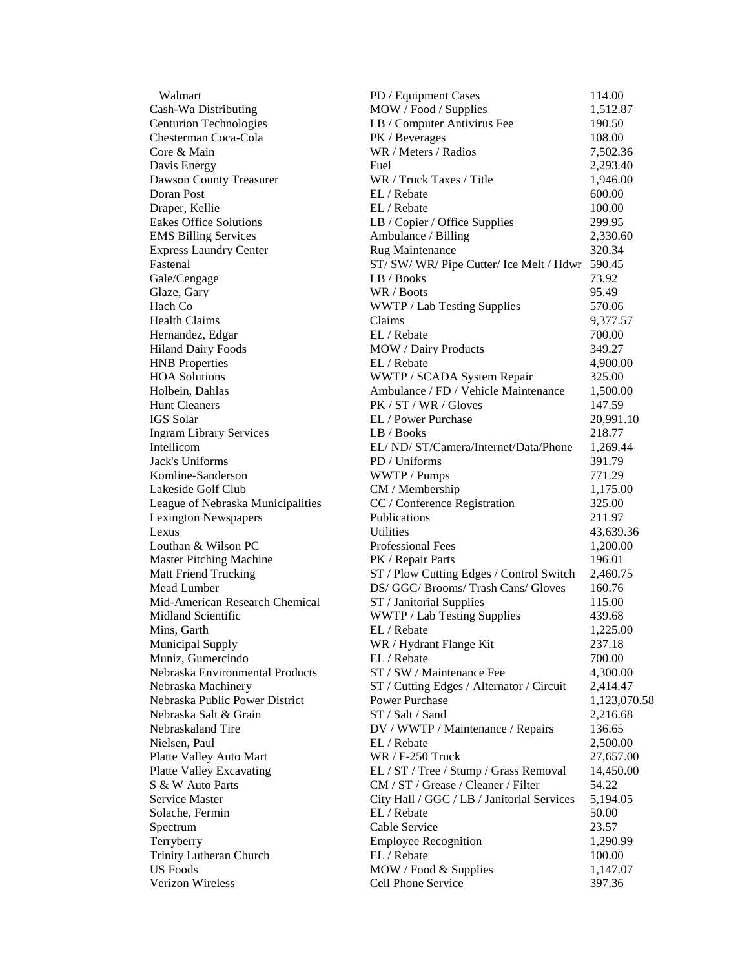| Walmart                           | PD / Equipment Cases                        | 114.00       |
|-----------------------------------|---------------------------------------------|--------------|
| Cash-Wa Distributing              | MOW / Food / Supplies                       | 1,512.87     |
| <b>Centurion Technologies</b>     | LB / Computer Antivirus Fee                 | 190.50       |
| Chesterman Coca-Cola              | PK / Beverages                              | 108.00       |
| Core & Main                       | WR / Meters / Radios                        | 7,502.36     |
| Davis Energy                      | Fuel                                        | 2,293.40     |
| Dawson County Treasurer           | WR / Truck Taxes / Title                    | 1,946.00     |
| Doran Post                        | EL / Rebate                                 | 600.00       |
| Draper, Kellie                    | EL / Rebate                                 | 100.00       |
| <b>Eakes Office Solutions</b>     | LB / Copier / Office Supplies               | 299.95       |
| <b>EMS Billing Services</b>       | Ambulance / Billing                         | 2,330.60     |
| <b>Express Laundry Center</b>     | Rug Maintenance                             | 320.34       |
| Fastenal                          | ST/SW/WR/Pipe Cutter/Ice Melt / Hdwr 590.45 |              |
| Gale/Cengage                      | LB / Books                                  | 73.92        |
| Glaze, Gary                       | WR / Boots                                  | 95.49        |
| Hach Co                           | WWTP / Lab Testing Supplies                 | 570.06       |
| <b>Health Claims</b>              | Claims                                      | 9,377.57     |
| Hernandez, Edgar                  | EL / Rebate                                 | 700.00       |
| <b>Hiland Dairy Foods</b>         | MOW / Dairy Products                        | 349.27       |
| <b>HNB</b> Properties             | EL / Rebate                                 | 4,900.00     |
| <b>HOA Solutions</b>              | WWTP / SCADA System Repair                  | 325.00       |
| Holbein, Dahlas                   | Ambulance / FD / Vehicle Maintenance        | 1,500.00     |
| <b>Hunt Cleaners</b>              | PK / ST / WR / Gloves                       | 147.59       |
| IGS Solar                         | EL / Power Purchase                         | 20,991.10    |
| <b>Ingram Library Services</b>    | LB / Books                                  | 218.77       |
| Intellicom                        | EL/ND/ST/Camera/Internet/Data/Phone         | 1,269.44     |
| Jack's Uniforms                   | PD / Uniforms                               | 391.79       |
| Komline-Sanderson                 | WWTP / Pumps                                | 771.29       |
| Lakeside Golf Club                | CM / Membership                             | 1,175.00     |
| League of Nebraska Municipalities | CC / Conference Registration                | 325.00       |
| <b>Lexington Newspapers</b>       | Publications                                | 211.97       |
| Lexus                             | <b>Utilities</b>                            | 43,639.36    |
| Louthan & Wilson PC               | Professional Fees                           | 1,200.00     |
| <b>Master Pitching Machine</b>    | PK / Repair Parts                           | 196.01       |
| <b>Matt Friend Trucking</b>       | ST / Plow Cutting Edges / Control Switch    | 2,460.75     |
| Mead Lumber                       | DS/ GGC/ Brooms/ Trash Cans/ Gloves         | 160.76       |
| Mid-American Research Chemical    | ST / Janitorial Supplies                    | 115.00       |
| <b>Midland Scientific</b>         | WWTP / Lab Testing Supplies                 | 439.68       |
| Mins, Garth                       | EL / Rebate                                 | 1,225.00     |
| Municipal Supply                  | WR / Hydrant Flange Kit                     | 237.18       |
| Muniz, Gumercindo                 | EL / Rebate                                 | 700.00       |
| Nebraska Environmental Products   | ST / SW / Maintenance Fee                   | 4,300.00     |
| Nebraska Machinery                | ST / Cutting Edges / Alternator / Circuit   | 2,414.47     |
| Nebraska Public Power District    | <b>Power Purchase</b>                       | 1,123,070.58 |
| Nebraska Salt & Grain             | ST / Salt / Sand                            | 2,216.68     |
| Nebraskaland Tire                 | DV / WWTP / Maintenance / Repairs           | 136.65       |
| Nielsen, Paul                     | EL / Rebate                                 | 2,500.00     |
| Platte Valley Auto Mart           | $WR / F-250$ Truck                          | 27,657.00    |
| <b>Platte Valley Excavating</b>   | EL / ST / Tree / Stump / Grass Removal      | 14,450.00    |
| S & W Auto Parts                  | CM / ST / Grease / Cleaner / Filter         | 54.22        |
| Service Master                    | City Hall / GGC / LB / Janitorial Services  | 5,194.05     |
| Solache, Fermin                   | EL / Rebate                                 | 50.00        |
| Spectrum                          | Cable Service                               | 23.57        |
| Terryberry                        | <b>Employee Recognition</b>                 | 1,290.99     |
| Trinity Lutheran Church           | EL / Rebate                                 | 100.00       |
| <b>US Foods</b>                   | MOW / Food & Supplies                       | 1,147.07     |
| Verizon Wireless                  | Cell Phone Service                          | 397.36       |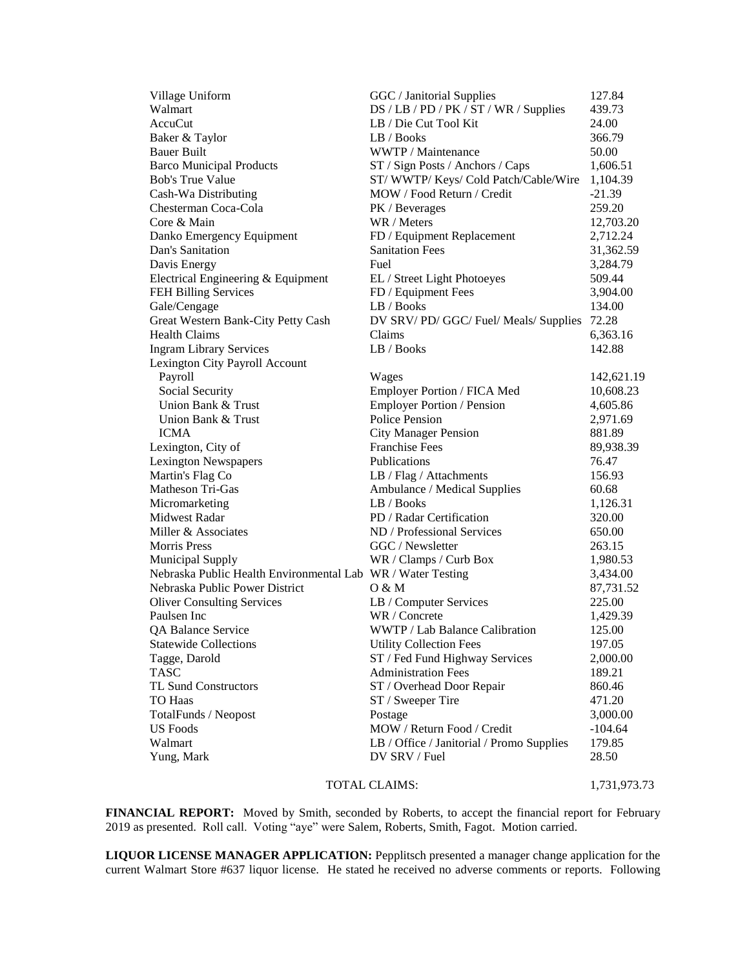| Village Uniform                                             | GGC / Janitorial Supplies                                  | 127.84          |
|-------------------------------------------------------------|------------------------------------------------------------|-----------------|
| Walmart                                                     | DS / LB / PD / PK / ST / WR / Supplies                     | 439.73          |
| AccuCut                                                     | LB / Die Cut Tool Kit                                      | 24.00           |
| Baker & Taylor                                              | LB / Books                                                 | 366.79          |
| <b>Bauer Built</b>                                          | WWTP / Maintenance                                         | 50.00           |
| <b>Barco Municipal Products</b>                             | ST / Sign Posts / Anchors / Caps                           | 1,606.51        |
| <b>Bob's True Value</b>                                     | ST/WWTP/Keys/Cold Patch/Cable/Wire                         | 1,104.39        |
| Cash-Wa Distributing                                        | MOW / Food Return / Credit                                 | $-21.39$        |
| Chesterman Coca-Cola                                        | PK / Beverages                                             | 259.20          |
| Core & Main                                                 | WR / Meters                                                | 12,703.20       |
| Danko Emergency Equipment                                   | FD / Equipment Replacement                                 | 2,712.24        |
| Dan's Sanitation                                            | <b>Sanitation Fees</b>                                     | 31,362.59       |
| Davis Energy                                                | Fuel                                                       | 3,284.79        |
| Electrical Engineering & Equipment                          | EL / Street Light Photoeyes                                | 509.44          |
| FEH Billing Services                                        | FD / Equipment Fees                                        | 3,904.00        |
| Gale/Cengage                                                | LB / Books                                                 | 134.00          |
| Great Western Bank-City Petty Cash                          | DV SRV/PD/GGC/Fuel/Meals/Supplies                          | 72.28           |
| <b>Health Claims</b>                                        | Claims                                                     | 6,363.16        |
| <b>Ingram Library Services</b>                              | LB / Books                                                 | 142.88          |
| Lexington City Payroll Account                              |                                                            |                 |
| Payroll                                                     | Wages                                                      | 142,621.19      |
| Social Security                                             | Employer Portion / FICA Med                                | 10,608.23       |
| Union Bank & Trust                                          | <b>Employer Portion / Pension</b>                          | 4,605.86        |
| Union Bank & Trust                                          | <b>Police Pension</b>                                      | 2,971.69        |
| <b>ICMA</b>                                                 | <b>City Manager Pension</b>                                | 881.89          |
| Lexington, City of                                          | <b>Franchise Fees</b>                                      | 89,938.39       |
| <b>Lexington Newspapers</b>                                 | Publications                                               | 76.47           |
| Martin's Flag Co                                            | LB / Flag / Attachments                                    | 156.93          |
| Matheson Tri-Gas                                            | Ambulance / Medical Supplies                               | 60.68           |
| Micromarketing                                              | LB / Books                                                 | 1,126.31        |
| Midwest Radar                                               | PD / Radar Certification                                   | 320.00          |
| Miller & Associates                                         | ND / Professional Services                                 | 650.00          |
| <b>Morris Press</b>                                         | GGC / Newsletter                                           | 263.15          |
| <b>Municipal Supply</b>                                     | WR / Clamps / Curb Box                                     | 1,980.53        |
| Nebraska Public Health Environmental Lab WR / Water Testing |                                                            | 3,434.00        |
| Nebraska Public Power District                              | O & M                                                      | 87,731.52       |
| <b>Oliver Consulting Services</b>                           | LB / Computer Services                                     | 225.00          |
| Paulsen Inc                                                 | WR / Concrete                                              | 1,429.39        |
| QA Balance Service                                          | WWTP / Lab Balance Calibration                             | 125.00          |
| <b>Statewide Collections</b>                                | <b>Utility Collection Fees</b>                             | 197.05          |
| Tagge, Darold                                               | ST / Fed Fund Highway Services                             | 2,000.00        |
| <b>TASC</b>                                                 | <b>Administration Fees</b>                                 | 189.21          |
| <b>TL Sund Constructors</b>                                 | ST / Overhead Door Repair                                  | 860.46          |
| <b>TO Haas</b>                                              | ST / Sweeper Tire                                          | 471.20          |
| TotalFunds / Neopost                                        | Postage                                                    | 3,000.00        |
| <b>US Foods</b>                                             | MOW / Return Food / Credit                                 | $-104.64$       |
| Walmart                                                     | LB / Office / Janitorial / Promo Supplies<br>DV SRV / Fuel | 179.85<br>28.50 |
| Yung, Mark                                                  |                                                            |                 |
|                                                             |                                                            |                 |

## TOTAL CLAIMS: 1,731,973.73

**FINANCIAL REPORT:** Moved by Smith, seconded by Roberts, to accept the financial report for February 2019 as presented. Roll call. Voting "aye" were Salem, Roberts, Smith, Fagot. Motion carried.

**LIQUOR LICENSE MANAGER APPLICATION:** Pepplitsch presented a manager change application for the current Walmart Store #637 liquor license. He stated he received no adverse comments or reports. Following